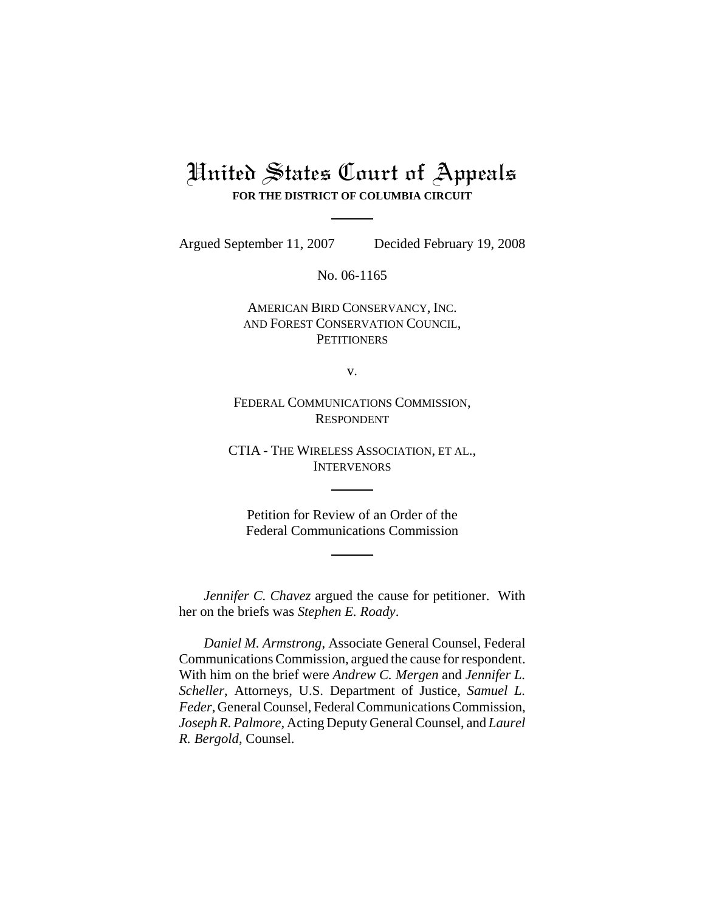## United States Court of Appeals **FOR THE DISTRICT OF COLUMBIA CIRCUIT**

Argued September 11, 2007 Decided February 19, 2008

No. 06-1165

### AMERICAN BIRD CONSERVANCY, INC. AND FOREST CONSERVATION COUNCIL, **PETITIONERS**

v.

FEDERAL COMMUNICATIONS COMMISSION, RESPONDENT

CTIA - THE WIRELESS ASSOCIATION, ET AL., INTERVENORS

Petition for Review of an Order of the Federal Communications Commission

*Jennifer C. Chavez* argued the cause for petitioner. With her on the briefs was *Stephen E. Roady*.

*Daniel M. Armstrong*, Associate General Counsel, Federal Communications Commission, argued the cause for respondent. With him on the brief were *Andrew C. Mergen* and *Jennifer L. Scheller*, Attorneys, U.S. Department of Justice, *Samuel L. Feder*, General Counsel, Federal Communications Commission, *Joseph R. Palmore*, Acting Deputy General Counsel, and *Laurel R. Bergold*, Counsel.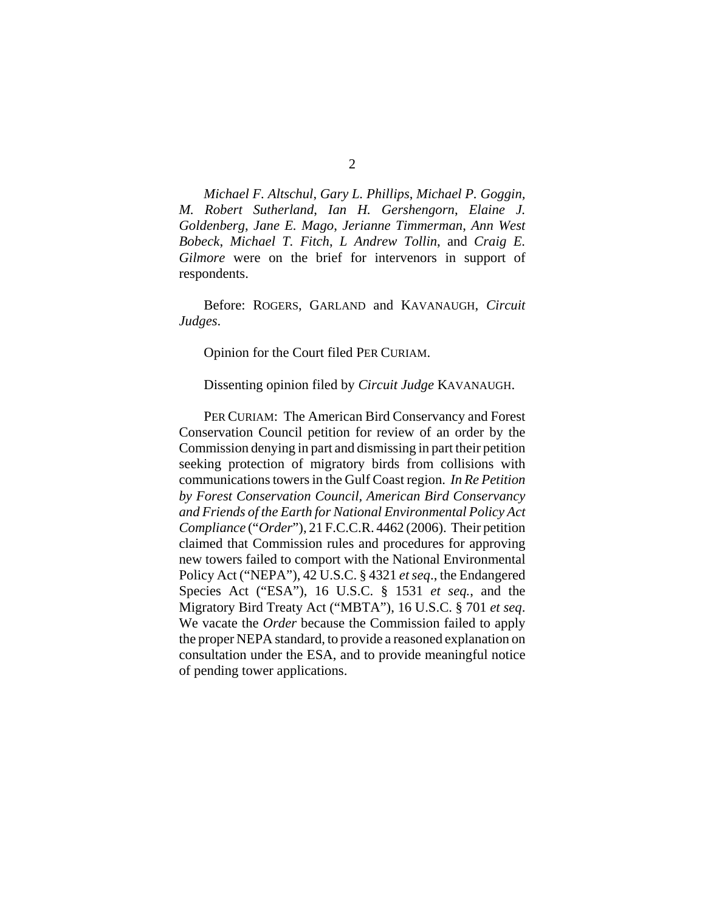*Michael F. Altschul*, *Gary L. Phillips*, *Michael P. Goggin, M. Robert Sutherland*, *Ian H. Gershengorn*, *Elaine J. Goldenberg*, *Jane E. Mago*, *Jerianne Timmerman*, *Ann West Bobeck*, *Michael T. Fitch*, *L Andrew Tollin*, and *Craig E. Gilmore* were on the brief for intervenors in support of respondents.

Before: ROGERS, GARLAND and KAVANAUGH, *Circuit Judges*.

Opinion for the Court filed PER CURIAM.

Dissenting opinion filed by *Circuit Judge* KAVANAUGH.

PER CURIAM: The American Bird Conservancy and Forest Conservation Council petition for review of an order by the Commission denying in part and dismissing in part their petition seeking protection of migratory birds from collisions with communications towers in the Gulf Coast region. *In Re Petition by Forest Conservation Council, American Bird Conservancy and Friends of the Earth for National Environmental Policy Act Compliance* ("*Order*"), 21 F.C.C.R. 4462 (2006). Their petition claimed that Commission rules and procedures for approving new towers failed to comport with the National Environmental Policy Act ("NEPA"), 42 U.S.C. § 4321 *et seq*., the Endangered Species Act ("ESA"), 16 U.S.C. § 1531 *et seq.*, and the Migratory Bird Treaty Act ("MBTA"), 16 U.S.C. § 701 *et seq*. We vacate the *Order* because the Commission failed to apply the proper NEPA standard, to provide a reasoned explanation on consultation under the ESA, and to provide meaningful notice of pending tower applications.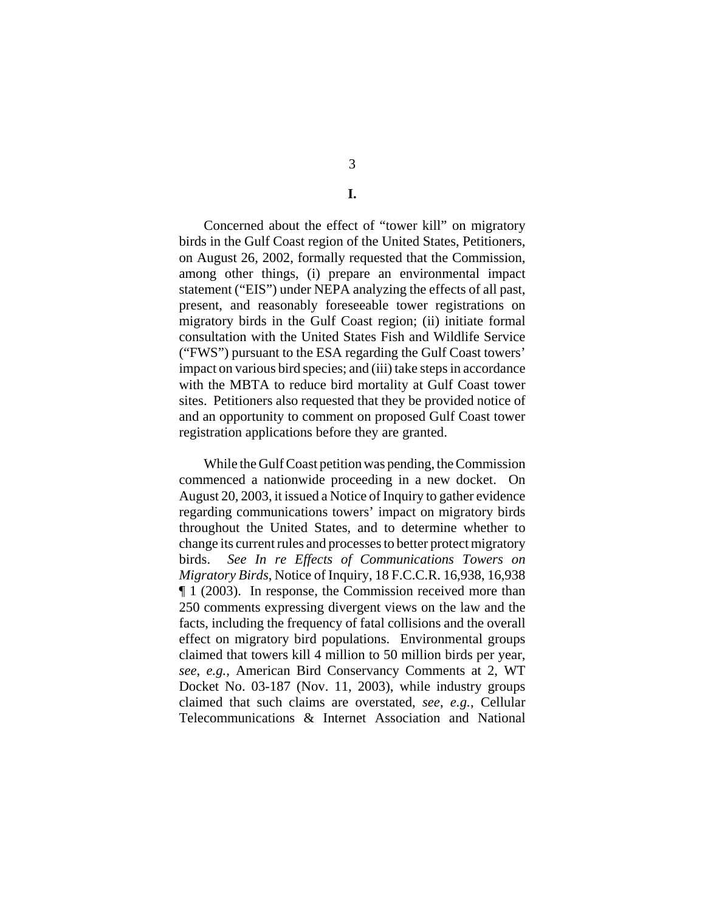# **I.**

Concerned about the effect of "tower kill" on migratory birds in the Gulf Coast region of the United States, Petitioners, on August 26, 2002, formally requested that the Commission, among other things, (i) prepare an environmental impact statement ("EIS") under NEPA analyzing the effects of all past, present, and reasonably foreseeable tower registrations on migratory birds in the Gulf Coast region; (ii) initiate formal consultation with the United States Fish and Wildlife Service ("FWS") pursuant to the ESA regarding the Gulf Coast towers' impact on various bird species; and (iii) take steps in accordance with the MBTA to reduce bird mortality at Gulf Coast tower sites. Petitioners also requested that they be provided notice of and an opportunity to comment on proposed Gulf Coast tower registration applications before they are granted.

While the Gulf Coast petition was pending, the Commission commenced a nationwide proceeding in a new docket. On August 20, 2003, it issued a Notice of Inquiry to gather evidence regarding communications towers' impact on migratory birds throughout the United States, and to determine whether to change its current rules and processes to better protect migratory birds. *See In re Effects of Communications Towers on Migratory Birds*, Notice of Inquiry, 18 F.C.C.R. 16,938, 16,938 ¶ 1 (2003). In response, the Commission received more than 250 comments expressing divergent views on the law and the facts, including the frequency of fatal collisions and the overall effect on migratory bird populations. Environmental groups claimed that towers kill 4 million to 50 million birds per year, *see, e.g.,* American Bird Conservancy Comments at 2, WT Docket No. 03-187 (Nov. 11, 2003), while industry groups claimed that such claims are overstated, *see*, *e.g.*, Cellular Telecommunications & Internet Association and National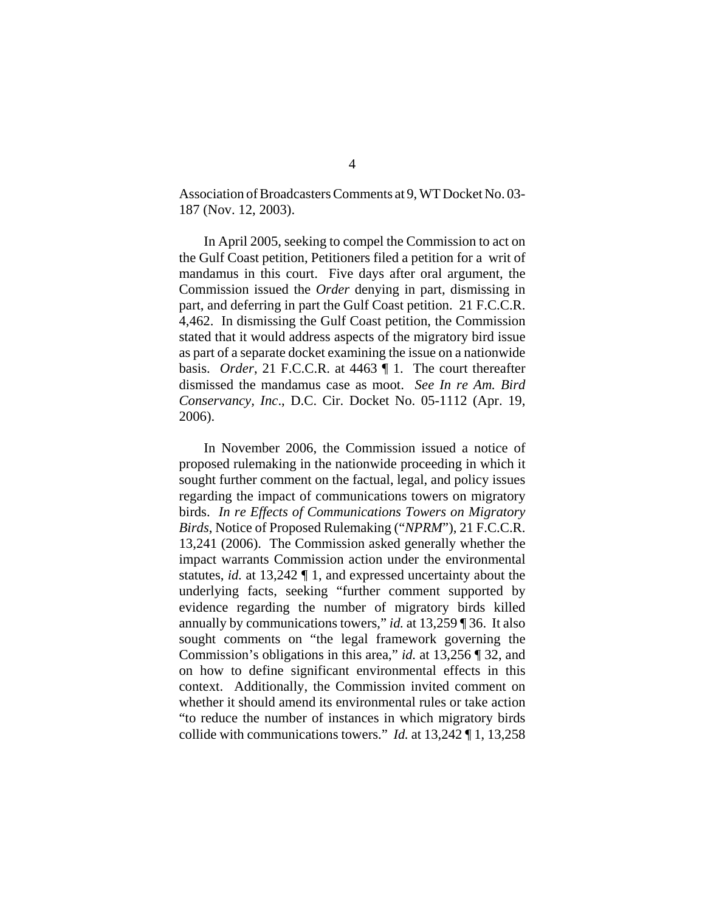Association of Broadcasters Comments at 9, WT Docket No. 03- 187 (Nov. 12, 2003).

In April 2005, seeking to compel the Commission to act on the Gulf Coast petition, Petitioners filed a petition for a writ of mandamus in this court. Five days after oral argument, the Commission issued the *Order* denying in part, dismissing in part, and deferring in part the Gulf Coast petition. 21 F.C.C.R. 4,462. In dismissing the Gulf Coast petition, the Commission stated that it would address aspects of the migratory bird issue as part of a separate docket examining the issue on a nationwide basis. *Order*, 21 F.C.C.R. at 4463 ¶ 1. The court thereafter dismissed the mandamus case as moot. *See In re Am. Bird Conservancy, Inc*., D.C. Cir. Docket No. 05-1112 (Apr. 19, 2006).

In November 2006, the Commission issued a notice of proposed rulemaking in the nationwide proceeding in which it sought further comment on the factual, legal, and policy issues regarding the impact of communications towers on migratory birds. *In re Effects of Communications Towers on Migratory Birds*, Notice of Proposed Rulemaking ("*NPRM*"), 21 F.C.C.R. 13,241 (2006). The Commission asked generally whether the impact warrants Commission action under the environmental statutes, *id.* at 13,242 ¶ 1, and expressed uncertainty about the underlying facts, seeking "further comment supported by evidence regarding the number of migratory birds killed annually by communications towers," *id.* at 13,259 ¶ 36. It also sought comments on "the legal framework governing the Commission's obligations in this area," *id.* at 13,256 ¶ 32, and on how to define significant environmental effects in this context. Additionally, the Commission invited comment on whether it should amend its environmental rules or take action "to reduce the number of instances in which migratory birds collide with communications towers." *Id.* at 13,242 ¶ 1, 13,258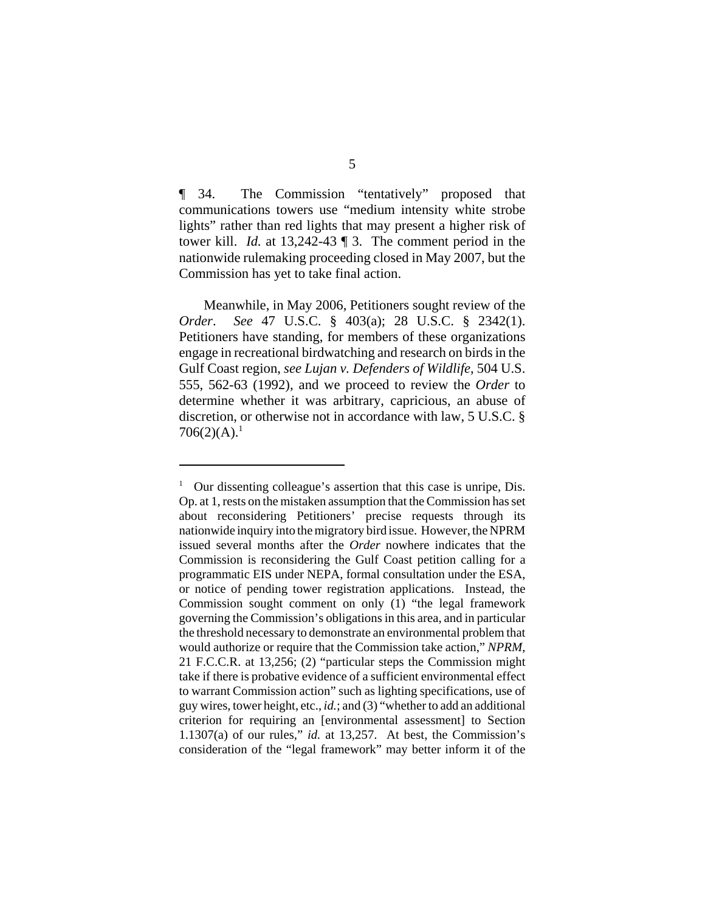¶ 34. The Commission "tentatively" proposed that communications towers use "medium intensity white strobe lights" rather than red lights that may present a higher risk of tower kill. *Id.* at 13,242-43 ¶ 3. The comment period in the nationwide rulemaking proceeding closed in May 2007, but the Commission has yet to take final action.

Meanwhile, in May 2006, Petitioners sought review of the *Order*. *See* 47 U.S.C. § 403(a); 28 U.S.C. § 2342(1). Petitioners have standing, for members of these organizations engage in recreational birdwatching and research on birds in the Gulf Coast region, *see Lujan v. Defenders of Wildlife*, 504 U.S. 555, 562-63 (1992), and we proceed to review the *Order* to determine whether it was arbitrary, capricious, an abuse of discretion, or otherwise not in accordance with law, 5 U.S.C. §  $706(2)(A).<sup>1</sup>$ 

<sup>&</sup>lt;sup>1</sup> Our dissenting colleague's assertion that this case is unripe, Dis. Op. at 1, rests on the mistaken assumption that the Commission has set about reconsidering Petitioners' precise requests through its nationwide inquiry into the migratory bird issue. However, the NPRM issued several months after the *Order* nowhere indicates that the Commission is reconsidering the Gulf Coast petition calling for a programmatic EIS under NEPA, formal consultation under the ESA, or notice of pending tower registration applications. Instead, the Commission sought comment on only (1) "the legal framework governing the Commission's obligations in this area, and in particular the threshold necessary to demonstrate an environmental problem that would authorize or require that the Commission take action," *NPRM*, 21 F.C.C.R. at 13,256; (2) "particular steps the Commission might take if there is probative evidence of a sufficient environmental effect to warrant Commission action" such as lighting specifications, use of guy wires, tower height, etc., *id.*; and (3) "whether to add an additional criterion for requiring an [environmental assessment] to Section 1.1307(a) of our rules," *id.* at 13,257. At best, the Commission's consideration of the "legal framework" may better inform it of the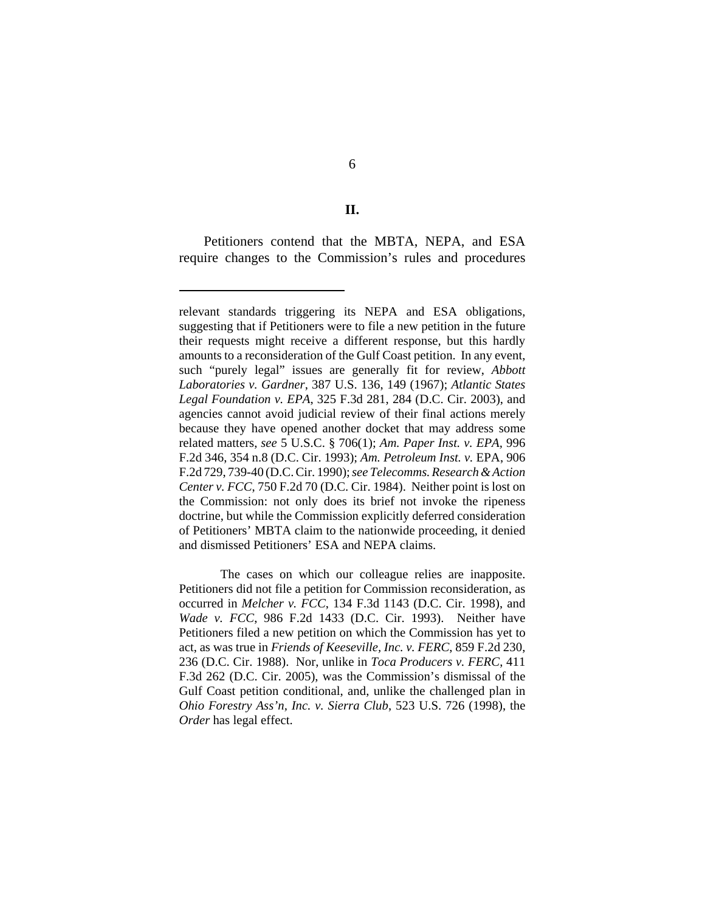**II.**

Petitioners contend that the MBTA, NEPA, and ESA require changes to the Commission's rules and procedures

relevant standards triggering its NEPA and ESA obligations, suggesting that if Petitioners were to file a new petition in the future their requests might receive a different response, but this hardly amounts to a reconsideration of the Gulf Coast petition. In any event, such "purely legal" issues are generally fit for review, *Abbott Laboratories v. Gardner*, 387 U.S. 136, 149 (1967); *Atlantic States Legal Foundation v. EPA*, 325 F.3d 281, 284 (D.C. Cir. 2003), and agencies cannot avoid judicial review of their final actions merely because they have opened another docket that may address some related matters, *see* 5 U.S.C. § 706(1); *Am. Paper Inst. v. EPA,* 996 F.2d 346, 354 n.8 (D.C. Cir. 1993); *Am. Petroleum Inst. v.* EPA, 906 F.2d 729, 739-40 (D.C. Cir. 1990); *see Telecomms. Research & Action Center v. FCC*, 750 F.2d 70 (D.C. Cir. 1984). Neither point is lost on the Commission: not only does its brief not invoke the ripeness doctrine, but while the Commission explicitly deferred consideration of Petitioners' MBTA claim to the nationwide proceeding, it denied and dismissed Petitioners' ESA and NEPA claims.

The cases on which our colleague relies are inapposite. Petitioners did not file a petition for Commission reconsideration, as occurred in *Melcher v. FCC*, 134 F.3d 1143 (D.C. Cir. 1998), and *Wade v. FCC*, 986 F.2d 1433 (D.C. Cir. 1993). Neither have Petitioners filed a new petition on which the Commission has yet to act, as was true in *Friends of Keeseville, Inc. v. FERC*, 859 F.2d 230, 236 (D.C. Cir. 1988). Nor, unlike in *Toca Producers v. FERC*, 411 F.3d 262 (D.C. Cir. 2005), was the Commission's dismissal of the Gulf Coast petition conditional, and, unlike the challenged plan in *Ohio Forestry Ass'n, Inc. v. Sierra Club*, 523 U.S. 726 (1998), the *Order* has legal effect.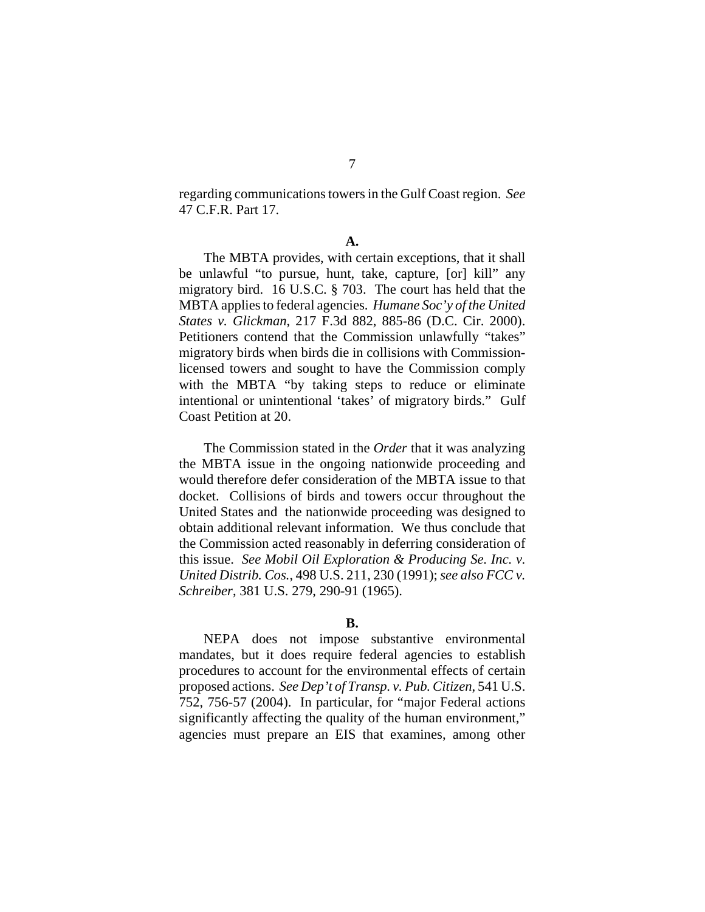regarding communications towers in the Gulf Coast region. *See* 47 C.F.R. Part 17.

The MBTA provides, with certain exceptions, that it shall be unlawful "to pursue, hunt, take, capture, [or] kill" any migratory bird. 16 U.S.C. § 703. The court has held that the MBTA applies to federal agencies. *Humane Soc'y of the United States v. Glickman*, 217 F.3d 882, 885-86 (D.C. Cir. 2000). Petitioners contend that the Commission unlawfully "takes" migratory birds when birds die in collisions with Commissionlicensed towers and sought to have the Commission comply with the MBTA "by taking steps to reduce or eliminate intentional or unintentional 'takes' of migratory birds." Gulf Coast Petition at 20.

The Commission stated in the *Order* that it was analyzing the MBTA issue in the ongoing nationwide proceeding and would therefore defer consideration of the MBTA issue to that docket. Collisions of birds and towers occur throughout the United States and the nationwide proceeding was designed to obtain additional relevant information. We thus conclude that the Commission acted reasonably in deferring consideration of this issue. *See Mobil Oil Exploration & Producing Se. Inc. v. United Distrib. Cos.*, 498 U.S. 211, 230 (1991); *see also FCC v. Schreiber*, 381 U.S. 279, 290-91 (1965).

### **B.**

NEPA does not impose substantive environmental mandates, but it does require federal agencies to establish procedures to account for the environmental effects of certain proposed actions. *See Dep't of Transp. v. Pub. Citizen*, 541 U.S. 752, 756-57 (2004). In particular, for "major Federal actions significantly affecting the quality of the human environment," agencies must prepare an EIS that examines, among other

**A.**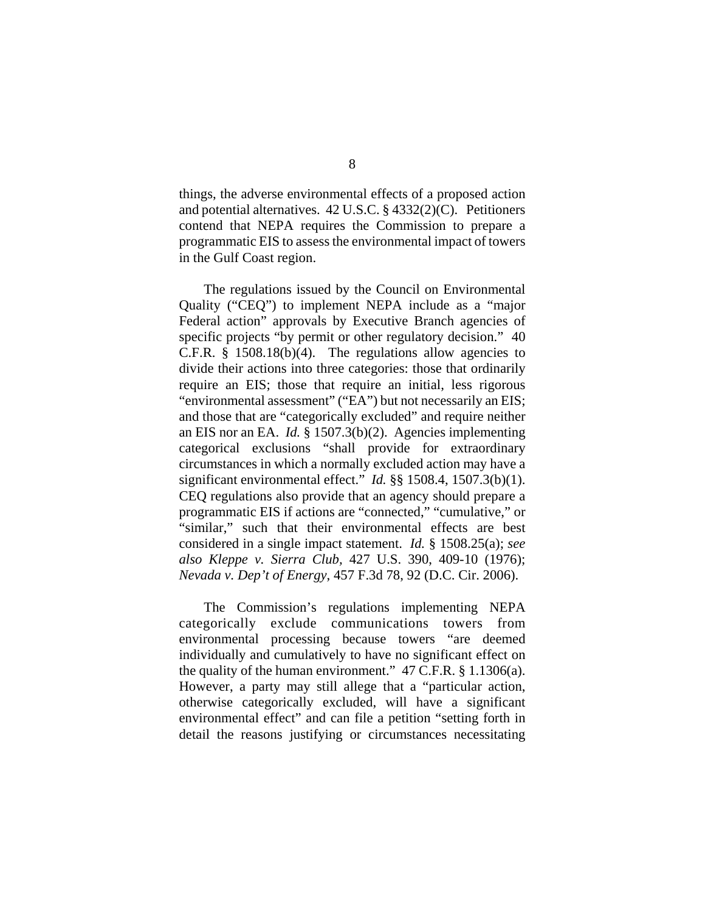things, the adverse environmental effects of a proposed action and potential alternatives. 42 U.S.C. § 4332(2)(C). Petitioners contend that NEPA requires the Commission to prepare a programmatic EIS to assess the environmental impact of towers in the Gulf Coast region.

The regulations issued by the Council on Environmental Quality ("CEQ") to implement NEPA include as a "major Federal action" approvals by Executive Branch agencies of specific projects "by permit or other regulatory decision." 40 C.F.R.  $\S$  1508.18(b)(4). The regulations allow agencies to divide their actions into three categories: those that ordinarily require an EIS; those that require an initial, less rigorous "environmental assessment" ("EA") but not necessarily an EIS; and those that are "categorically excluded" and require neither an EIS nor an EA. *Id.* § 1507.3(b)(2). Agencies implementing categorical exclusions "shall provide for extraordinary circumstances in which a normally excluded action may have a significant environmental effect." *Id.* §§ 1508.4, 1507.3(b)(1). CEQ regulations also provide that an agency should prepare a programmatic EIS if actions are "connected," "cumulative," or "similar," such that their environmental effects are best considered in a single impact statement. *Id.* § 1508.25(a); *see also Kleppe v. Sierra Club,* 427 U.S. 390, 409-10 (1976); *Nevada v. Dep't of Energy*, 457 F.3d 78, 92 (D.C. Cir. 2006).

The Commission's regulations implementing NEPA categorically exclude communications towers from environmental processing because towers "are deemed individually and cumulatively to have no significant effect on the quality of the human environment."  $47$  C.F.R. § 1.1306(a). However, a party may still allege that a "particular action, otherwise categorically excluded, will have a significant environmental effect" and can file a petition "setting forth in detail the reasons justifying or circumstances necessitating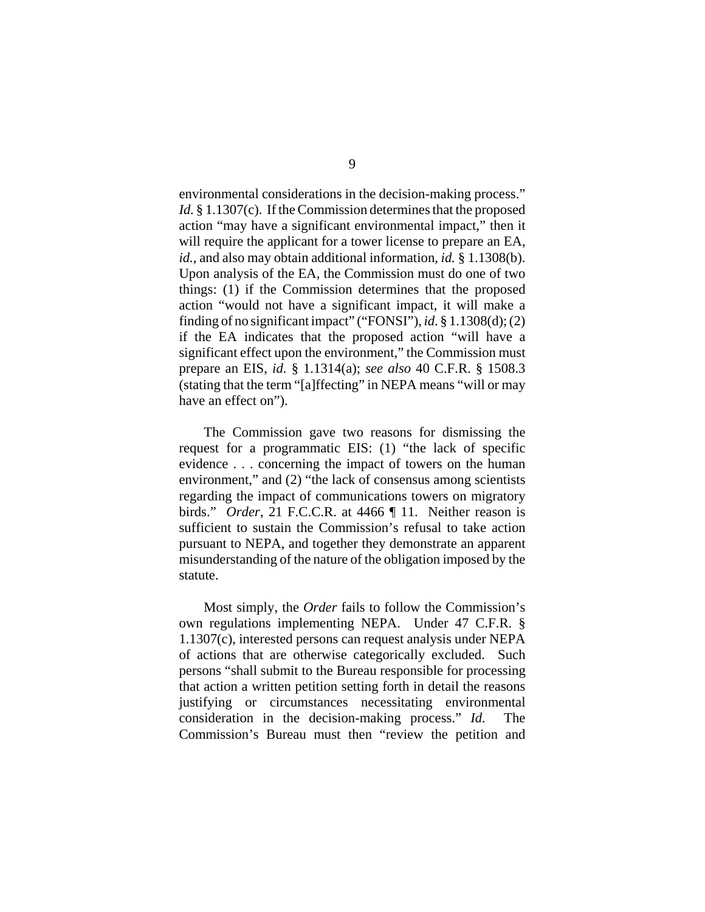environmental considerations in the decision-making process." *Id.* § 1.1307(c). If the Commission determines that the proposed action "may have a significant environmental impact," then it will require the applicant for a tower license to prepare an EA, *id.*, and also may obtain additional information, *id.* § 1.1308(b). Upon analysis of the EA, the Commission must do one of two things: (1) if the Commission determines that the proposed action "would not have a significant impact, it will make a finding of no significant impact" ("FONSI"), *id*. § 1.1308(d); (2) if the EA indicates that the proposed action "will have a significant effect upon the environment," the Commission must prepare an EIS, *id.* § 1.1314(a); *see also* 40 C.F.R. § 1508.3 (stating that the term "[a]ffecting" in NEPA means "will or may have an effect on").

The Commission gave two reasons for dismissing the request for a programmatic EIS: (1) "the lack of specific evidence . . . concerning the impact of towers on the human environment," and (2) "the lack of consensus among scientists regarding the impact of communications towers on migratory birds." *Order*, 21 F.C.C.R. at 4466 ¶ 11. Neither reason is sufficient to sustain the Commission's refusal to take action pursuant to NEPA, and together they demonstrate an apparent misunderstanding of the nature of the obligation imposed by the statute.

Most simply, the *Order* fails to follow the Commission's own regulations implementing NEPA. Under 47 C.F.R. § 1.1307(c), interested persons can request analysis under NEPA of actions that are otherwise categorically excluded. Such persons "shall submit to the Bureau responsible for processing that action a written petition setting forth in detail the reasons justifying or circumstances necessitating environmental consideration in the decision-making process." *Id.* The Commission's Bureau must then "review the petition and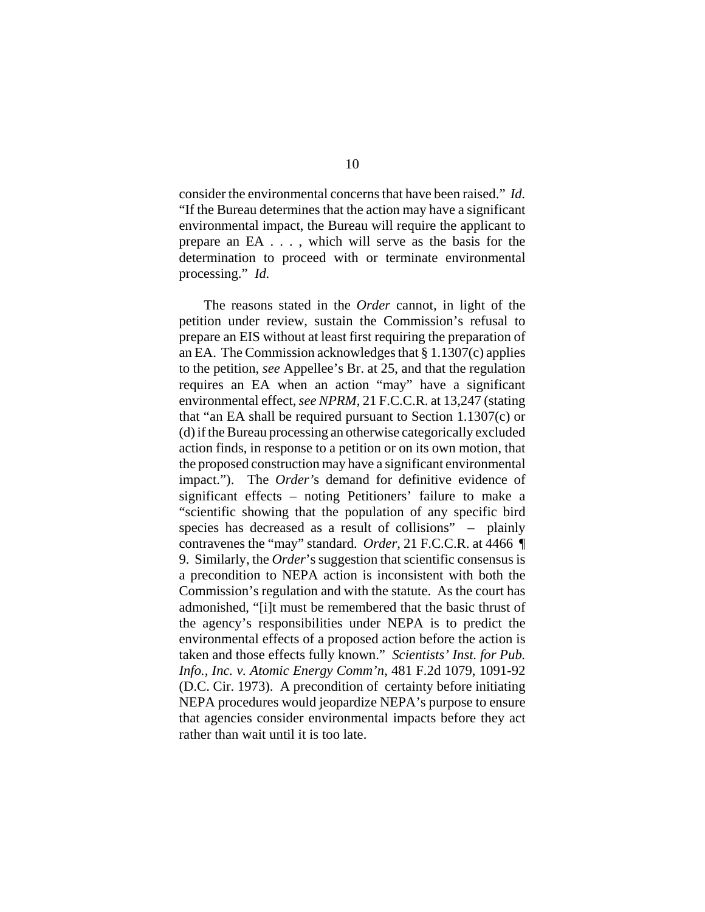consider the environmental concerns that have been raised." *Id.* "If the Bureau determines that the action may have a significant environmental impact, the Bureau will require the applicant to prepare an EA . . . , which will serve as the basis for the determination to proceed with or terminate environmental processing." *Id.*

The reasons stated in the *Order* cannot, in light of the petition under review, sustain the Commission's refusal to prepare an EIS without at least first requiring the preparation of an EA. The Commission acknowledges that § 1.1307(c) applies to the petition, *see* Appellee's Br. at 25, and that the regulation requires an EA when an action "may" have a significant environmental effect, *see NPRM*, 21 F.C.C.R. at 13,247 (stating that "an EA shall be required pursuant to Section 1.1307(c) or (d) if the Bureau processing an otherwise categorically excluded action finds, in response to a petition or on its own motion, that the proposed construction may have a significant environmental impact."). The *Order'*s demand for definitive evidence of significant effects – noting Petitioners' failure to make a "scientific showing that the population of any specific bird species has decreased as a result of collisions" – plainly contravenes the "may" standard. *Order,* 21 F.C.C.R. at 4466 ¶ 9. Similarly, the *Order*'s suggestion that scientific consensus is a precondition to NEPA action is inconsistent with both the Commission's regulation and with the statute. As the court has admonished, "[i]t must be remembered that the basic thrust of the agency's responsibilities under NEPA is to predict the environmental effects of a proposed action before the action is taken and those effects fully known." *Scientists' Inst. for Pub. Info., Inc. v. Atomic Energy Comm'n*, 481 F.2d 1079, 1091-92 (D.C. Cir. 1973). A precondition of certainty before initiating NEPA procedures would jeopardize NEPA's purpose to ensure that agencies consider environmental impacts before they act rather than wait until it is too late.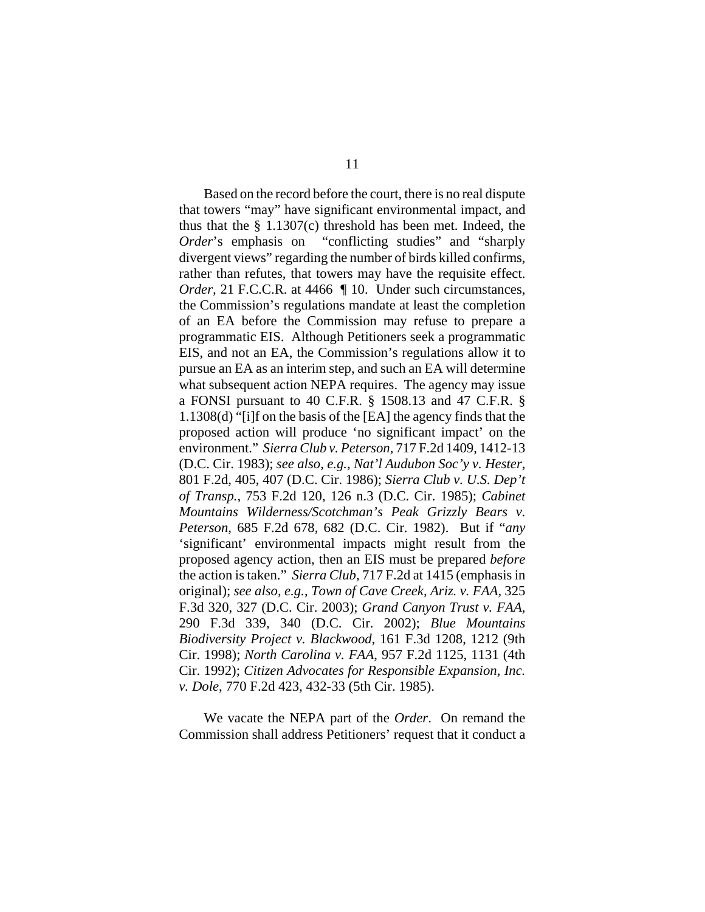Based on the record before the court, there is no real dispute that towers "may" have significant environmental impact, and thus that the § 1.1307(c) threshold has been met. Indeed, the *Order*'s emphasis on "conflicting studies" and "sharply divergent views" regarding the number of birds killed confirms, rather than refutes, that towers may have the requisite effect. *Order,* 21 F.C.C.R. at 4466 ¶ 10. Under such circumstances, the Commission's regulations mandate at least the completion of an EA before the Commission may refuse to prepare a programmatic EIS. Although Petitioners seek a programmatic EIS, and not an EA, the Commission's regulations allow it to pursue an EA as an interim step, and such an EA will determine what subsequent action NEPA requires. The agency may issue a FONSI pursuant to 40 C.F.R. § 1508.13 and 47 C.F.R. § 1.1308(d) "[i]f on the basis of the [EA] the agency finds that the proposed action will produce 'no significant impact' on the environment." *Sierra Club v. Peterson*, 717 F.2d 1409, 1412-13 (D.C. Cir. 1983); *see also*, *e.g.*, *Nat'l Audubon Soc'y v. Hester*, 801 F.2d, 405, 407 (D.C. Cir. 1986); *Sierra Club v. U.S. Dep't of Transp.*, 753 F.2d 120, 126 n.3 (D.C. Cir. 1985); *Cabinet Mountains Wilderness/Scotchman's Peak Grizzly Bears v. Peterson*, 685 F.2d 678, 682 (D.C. Cir. 1982). But if "*any* 'significant' environmental impacts might result from the proposed agency action, then an EIS must be prepared *before* the action is taken." *Sierra Club*, 717 F.2d at 1415 (emphasis in original); *see also, e.g.*, *Town of Cave Creek, Ariz. v. FAA*, 325 F.3d 320, 327 (D.C. Cir. 2003); *Grand Canyon Trust v. FAA*, 290 F.3d 339, 340 (D.C. Cir. 2002); *Blue Mountains Biodiversity Project v. Blackwood*, 161 F.3d 1208, 1212 (9th Cir. 1998); *North Carolina v. FAA*, 957 F.2d 1125, 1131 (4th Cir. 1992); *Citizen Advocates for Responsible Expansion, Inc. v. Dole*, 770 F.2d 423, 432-33 (5th Cir. 1985).

We vacate the NEPA part of the *Order*. On remand the Commission shall address Petitioners' request that it conduct a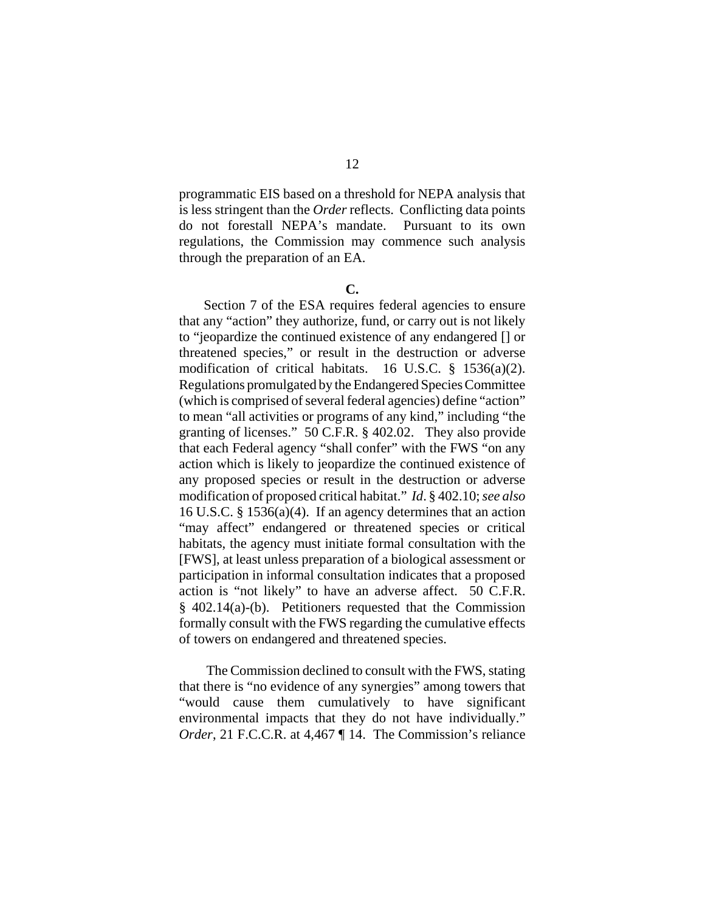programmatic EIS based on a threshold for NEPA analysis that is less stringent than the *Order* reflects. Conflicting data points do not forestall NEPA's mandate. Pursuant to its own regulations, the Commission may commence such analysis through the preparation of an EA.

#### **C.**

Section 7 of the ESA requires federal agencies to ensure that any "action" they authorize, fund, or carry out is not likely to "jeopardize the continued existence of any endangered [] or threatened species," or result in the destruction or adverse modification of critical habitats. 16 U.S.C. § 1536(a)(2). Regulations promulgated by the Endangered Species Committee (which is comprised of several federal agencies) define "action" to mean "all activities or programs of any kind," including "the granting of licenses." 50 C.F.R. § 402.02. They also provide that each Federal agency "shall confer" with the FWS "on any action which is likely to jeopardize the continued existence of any proposed species or result in the destruction or adverse modification of proposed critical habitat." *Id*. § 402.10; *see also* 16 U.S.C. § 1536(a)(4). If an agency determines that an action "may affect" endangered or threatened species or critical habitats, the agency must initiate formal consultation with the [FWS], at least unless preparation of a biological assessment or participation in informal consultation indicates that a proposed action is "not likely" to have an adverse affect. 50 C.F.R. § 402.14(a)-(b). Petitioners requested that the Commission formally consult with the FWS regarding the cumulative effects of towers on endangered and threatened species.

 The Commission declined to consult with the FWS, stating that there is "no evidence of any synergies" among towers that "would cause them cumulatively to have significant environmental impacts that they do not have individually." *Order*, 21 F.C.C.R. at 4,467 ¶ 14. The Commission's reliance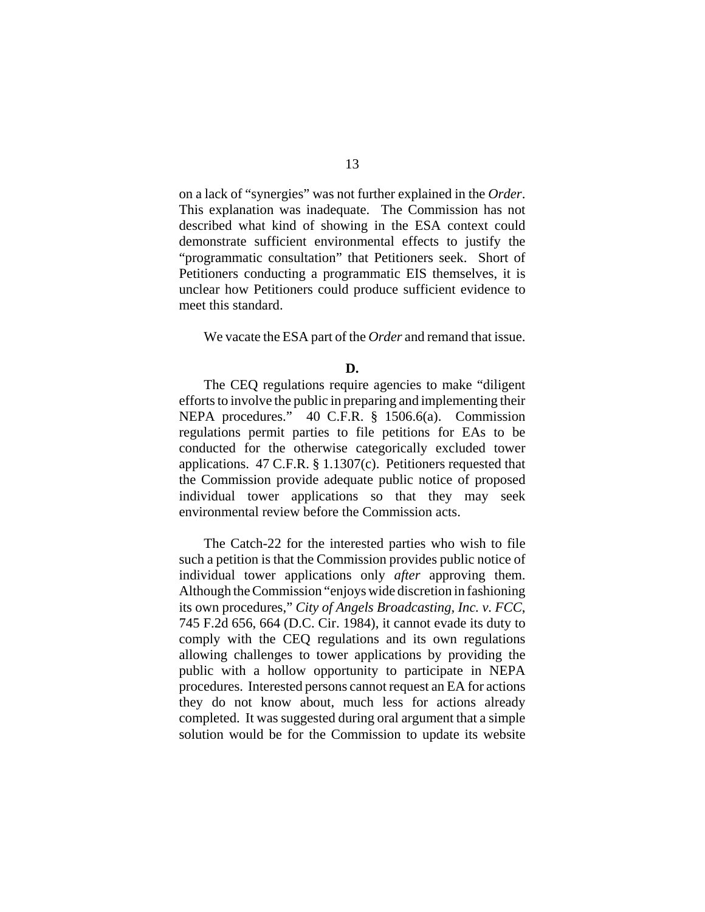on a lack of "synergies" was not further explained in the *Order*. This explanation was inadequate. The Commission has not described what kind of showing in the ESA context could demonstrate sufficient environmental effects to justify the "programmatic consultation" that Petitioners seek. Short of Petitioners conducting a programmatic EIS themselves, it is unclear how Petitioners could produce sufficient evidence to meet this standard.

We vacate the ESA part of the *Order* and remand that issue.

The CEQ regulations require agencies to make "diligent efforts to involve the public in preparing and implementing their NEPA procedures." 40 C.F.R. § 1506.6(a). Commission regulations permit parties to file petitions for EAs to be conducted for the otherwise categorically excluded tower applications. 47 C.F.R. § 1.1307(c). Petitioners requested that the Commission provide adequate public notice of proposed individual tower applications so that they may seek environmental review before the Commission acts.

The Catch-22 for the interested parties who wish to file such a petition is that the Commission provides public notice of individual tower applications only *after* approving them. Although the Commission "enjoys wide discretion in fashioning its own procedures," *City of Angels Broadcasting, Inc. v. FCC*, 745 F.2d 656, 664 (D.C. Cir. 1984), it cannot evade its duty to comply with the CEQ regulations and its own regulations allowing challenges to tower applications by providing the public with a hollow opportunity to participate in NEPA procedures. Interested persons cannot request an EA for actions they do not know about, much less for actions already completed. It was suggested during oral argument that a simple solution would be for the Commission to update its website

**D.**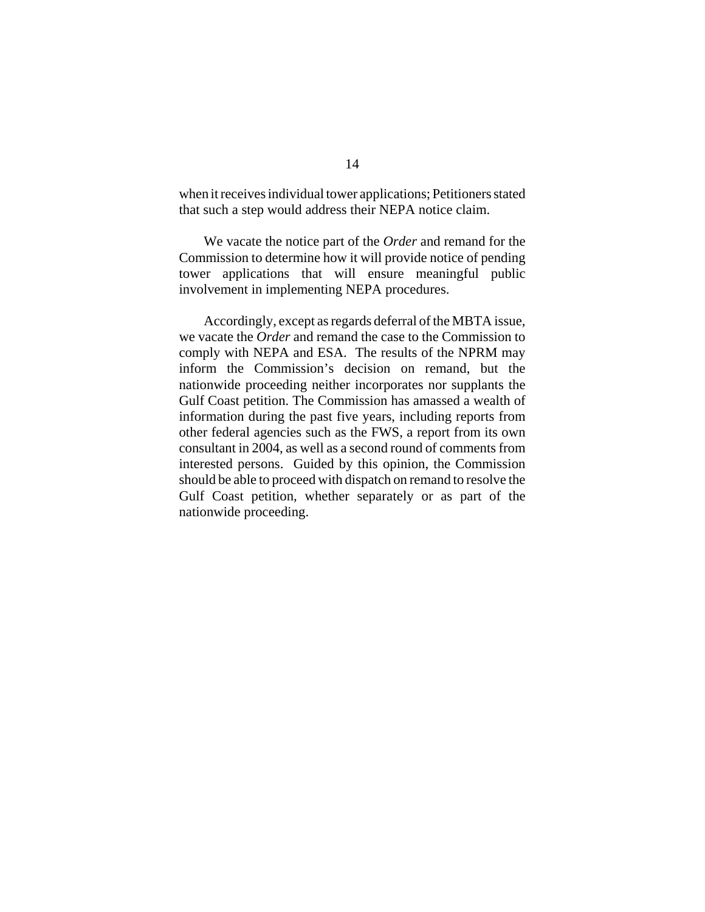when it receives individual tower applications; Petitioners stated that such a step would address their NEPA notice claim.

We vacate the notice part of the *Order* and remand for the Commission to determine how it will provide notice of pending tower applications that will ensure meaningful public involvement in implementing NEPA procedures.

Accordingly, except as regards deferral of the MBTA issue, we vacate the *Order* and remand the case to the Commission to comply with NEPA and ESA. The results of the NPRM may inform the Commission's decision on remand, but the nationwide proceeding neither incorporates nor supplants the Gulf Coast petition. The Commission has amassed a wealth of information during the past five years, including reports from other federal agencies such as the FWS, a report from its own consultant in 2004, as well as a second round of comments from interested persons. Guided by this opinion, the Commission should be able to proceed with dispatch on remand to resolve the Gulf Coast petition, whether separately or as part of the nationwide proceeding.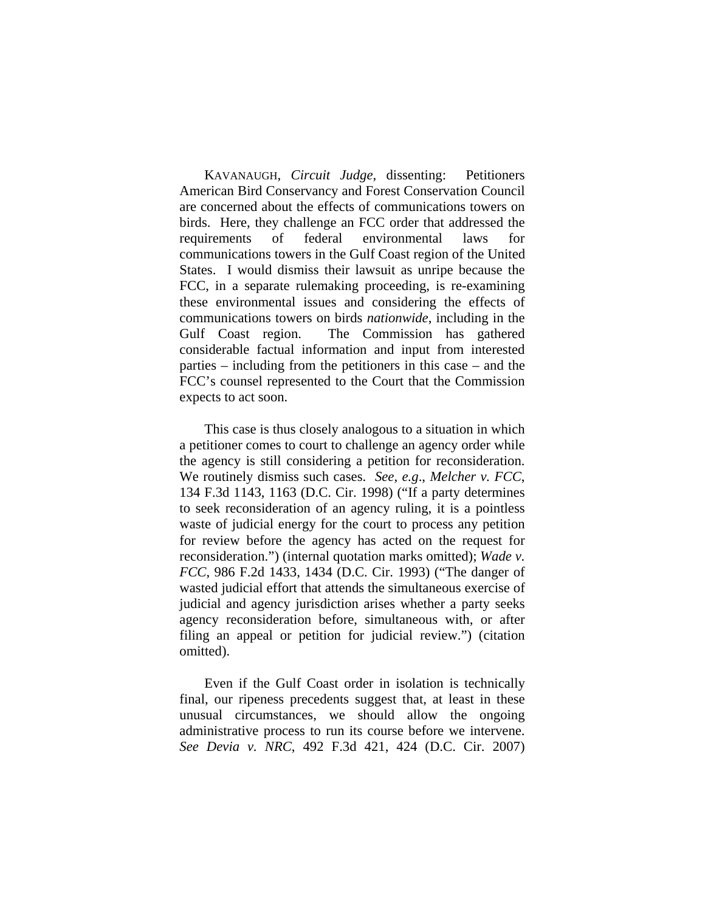KAVANAUGH, *Circuit Judge*, dissenting: Petitioners American Bird Conservancy and Forest Conservation Council are concerned about the effects of communications towers on birds. Here, they challenge an FCC order that addressed the requirements of federal environmental laws for communications towers in the Gulf Coast region of the United States. I would dismiss their lawsuit as unripe because the FCC, in a separate rulemaking proceeding, is re-examining these environmental issues and considering the effects of communications towers on birds *nationwide*, including in the Gulf Coast region. The Commission has gathered considerable factual information and input from interested parties – including from the petitioners in this case – and the FCC's counsel represented to the Court that the Commission expects to act soon.

This case is thus closely analogous to a situation in which a petitioner comes to court to challenge an agency order while the agency is still considering a petition for reconsideration. We routinely dismiss such cases. *See*, *e.g*., *Melcher v. FCC*, 134 F.3d 1143, 1163 (D.C. Cir. 1998) ("If a party determines to seek reconsideration of an agency ruling, it is a pointless waste of judicial energy for the court to process any petition for review before the agency has acted on the request for reconsideration.") (internal quotation marks omitted); *Wade v. FCC*, 986 F.2d 1433, 1434 (D.C. Cir. 1993) ("The danger of wasted judicial effort that attends the simultaneous exercise of judicial and agency jurisdiction arises whether a party seeks agency reconsideration before, simultaneous with, or after filing an appeal or petition for judicial review.") (citation omitted).

Even if the Gulf Coast order in isolation is technically final, our ripeness precedents suggest that, at least in these unusual circumstances, we should allow the ongoing administrative process to run its course before we intervene. *See Devia v. NRC*, 492 F.3d 421, 424 (D.C. Cir. 2007)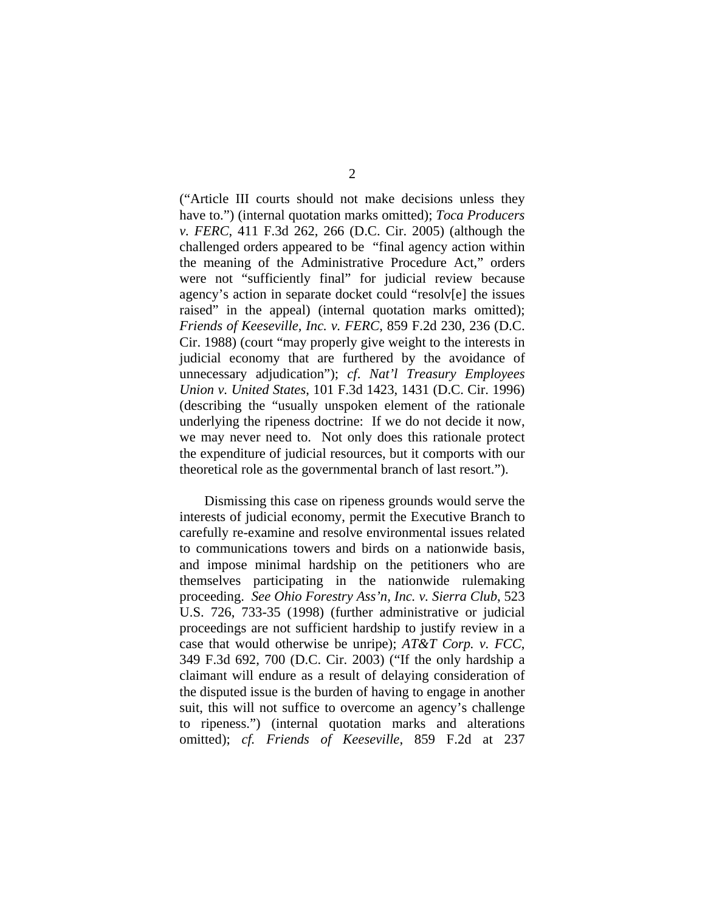("Article III courts should not make decisions unless they have to.") (internal quotation marks omitted); *Toca Producers v. FERC*, 411 F.3d 262, 266 (D.C. Cir. 2005) (although the challenged orders appeared to be "final agency action within the meaning of the Administrative Procedure Act," orders were not "sufficiently final" for judicial review because agency's action in separate docket could "resolv[e] the issues raised" in the appeal) (internal quotation marks omitted); *Friends of Keeseville, Inc. v. FERC*, 859 F.2d 230, 236 (D.C. Cir. 1988) (court "may properly give weight to the interests in judicial economy that are furthered by the avoidance of unnecessary adjudication"); *cf*. *Nat'l Treasury Employees Union v. United States*, 101 F.3d 1423, 1431 (D.C. Cir. 1996) (describing the "usually unspoken element of the rationale underlying the ripeness doctrine: If we do not decide it now, we may never need to. Not only does this rationale protect the expenditure of judicial resources, but it comports with our theoretical role as the governmental branch of last resort.").

Dismissing this case on ripeness grounds would serve the interests of judicial economy, permit the Executive Branch to carefully re-examine and resolve environmental issues related to communications towers and birds on a nationwide basis, and impose minimal hardship on the petitioners who are themselves participating in the nationwide rulemaking proceeding. *See Ohio Forestry Ass'n, Inc. v. Sierra Club*, 523 U.S. 726, 733-35 (1998) (further administrative or judicial proceedings are not sufficient hardship to justify review in a case that would otherwise be unripe); *AT&T Corp. v. FCC*, 349 F.3d 692, 700 (D.C. Cir. 2003) ("If the only hardship a claimant will endure as a result of delaying consideration of the disputed issue is the burden of having to engage in another suit, this will not suffice to overcome an agency's challenge to ripeness.") (internal quotation marks and alterations omitted); *cf. Friends of Keeseville*, 859 F.2d at 237